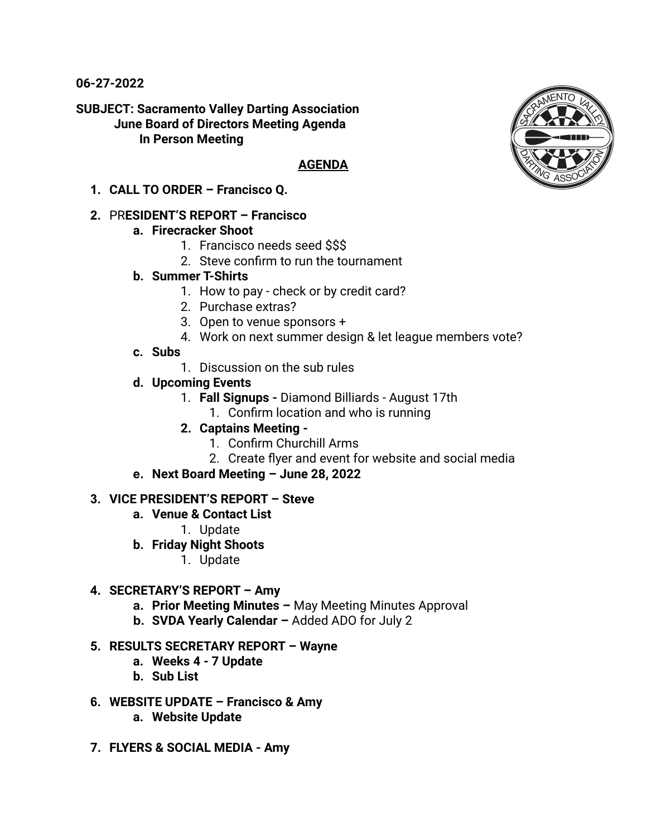**06-27-2022**

**SUBJECT: Sacramento Valley Darting Association June Board of Directors Meeting Agenda In Person Meeting**

#### **AGENDA**

**1. CALL TO ORDER – Francisco Q.**

## **2.** PR**ESIDENT'S REPORT – Francisco**

## **a. Firecracker Shoot**

- 1. Francisco needs seed \$\$\$
- 2. Steve confirm to run the tournament
- **b. Summer T-Shirts**
	- 1. How to pay check or by credit card?
	- 2. Purchase extras?
	- 3. Open to venue sponsors +
	- 4. Work on next summer design & let league members vote?
- **c. Subs**
	- 1. Discussion on the sub rules
- **d. Upcoming Events**
	- 1. **Fall Signups -** Diamond Billiards August 17th
		- 1. Confirm location and who is running
	- **2. Captains Meeting -**
		- 1. Confirm Churchill Arms
		- 2. Create flyer and event for website and social media
- **e. Next Board Meeting June 28, 2022**

# **3. VICE PRESIDENT'S REPORT – Steve**

- **a. Venue & Contact List**
	- 1. Update
- **b. Friday Night Shoots**
	- 1. Update

# **4. SECRETARY'S REPORT – Amy**

- **a. Prior Meeting Minutes –** May Meeting Minutes Approval
- **b. SVDA Yearly Calendar –** Added ADO for July 2

#### **5. RESULTS SECRETARY REPORT – Wayne**

- **a. Weeks 4 7 Update**
- **b. Sub List**
- **6. WEBSITE UPDATE Francisco & Amy**
	- **a. Website Update**
- **7. FLYERS & SOCIAL MEDIA Amy**